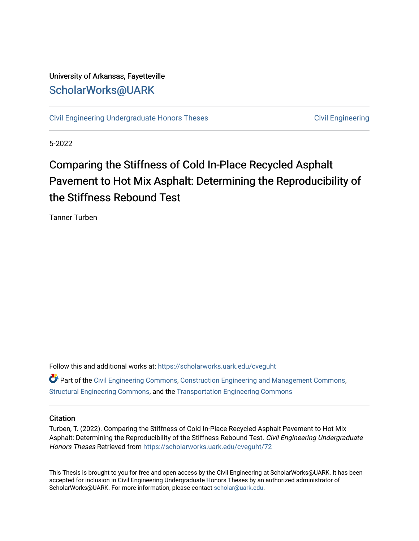# University of Arkansas, Fayetteville [ScholarWorks@UARK](https://scholarworks.uark.edu/)

[Civil Engineering Undergraduate Honors Theses](https://scholarworks.uark.edu/cveguht) [Civil Engineering](https://scholarworks.uark.edu/cveg) Civil Engineering

5-2022

# Comparing the Stiffness of Cold In-Place Recycled Asphalt Pavement to Hot Mix Asphalt: Determining the Reproducibility of the Stiffness Rebound Test

Tanner Turben

Follow this and additional works at: [https://scholarworks.uark.edu/cveguht](https://scholarworks.uark.edu/cveguht?utm_source=scholarworks.uark.edu%2Fcveguht%2F72&utm_medium=PDF&utm_campaign=PDFCoverPages) **P** Part of the [Civil Engineering Commons](http://network.bepress.com/hgg/discipline/252?utm_source=scholarworks.uark.edu%2Fcveguht%2F72&utm_medium=PDF&utm_campaign=PDFCoverPages), [Construction Engineering and Management Commons,](http://network.bepress.com/hgg/discipline/253?utm_source=scholarworks.uark.edu%2Fcveguht%2F72&utm_medium=PDF&utm_campaign=PDFCoverPages) [Structural Engineering Commons,](http://network.bepress.com/hgg/discipline/256?utm_source=scholarworks.uark.edu%2Fcveguht%2F72&utm_medium=PDF&utm_campaign=PDFCoverPages) and the [Transportation Engineering Commons](http://network.bepress.com/hgg/discipline/1329?utm_source=scholarworks.uark.edu%2Fcveguht%2F72&utm_medium=PDF&utm_campaign=PDFCoverPages)

# **Citation**

Turben, T. (2022). Comparing the Stiffness of Cold In-Place Recycled Asphalt Pavement to Hot Mix Asphalt: Determining the Reproducibility of the Stiffness Rebound Test. Civil Engineering Undergraduate Honors Theses Retrieved from [https://scholarworks.uark.edu/cveguht/72](https://scholarworks.uark.edu/cveguht/72?utm_source=scholarworks.uark.edu%2Fcveguht%2F72&utm_medium=PDF&utm_campaign=PDFCoverPages) 

This Thesis is brought to you for free and open access by the Civil Engineering at ScholarWorks@UARK. It has been accepted for inclusion in Civil Engineering Undergraduate Honors Theses by an authorized administrator of ScholarWorks@UARK. For more information, please contact [scholar@uark.edu](mailto:scholar@uark.edu).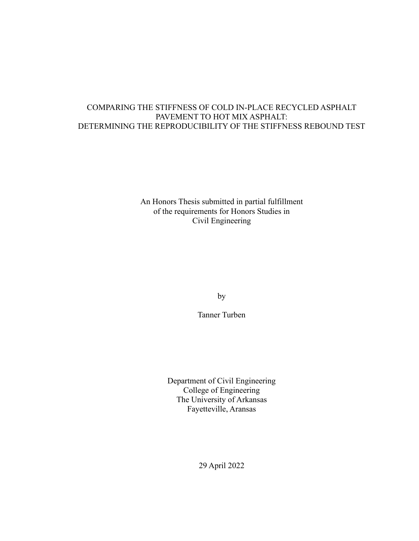# COMPARING THE STIFFNESS OF COLD IN-PLACE RECYCLED ASPHALT PAVEMENT TO HOT MIX ASPHALT: DETERMINING THE REPRODUCIBILITY OF THE STIFFNESS REBOUND TEST

An Honors Thesis submitted in partial fulfillment of the requirements for Honors Studies in Civil Engineering

by

Tanner Turben

Department of Civil Engineering College of Engineering The University of Arkansas Fayetteville, Aransas

29 April 2022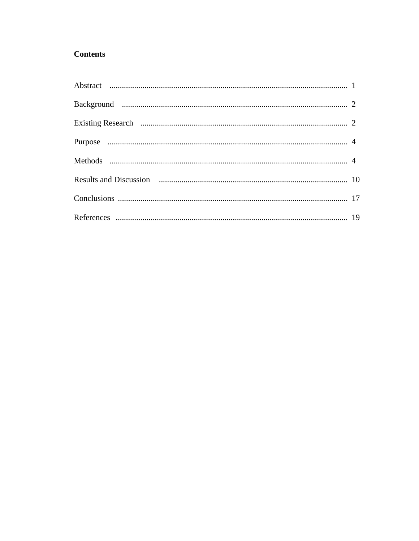# **Contents**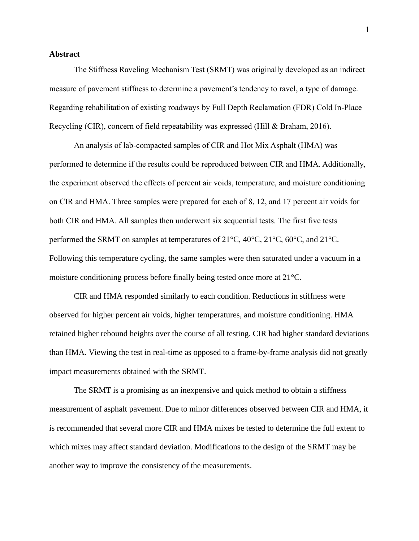## **Abstract**

The Stiffness Raveling Mechanism Test (SRMT) was originally developed as an indirect measure of pavement stiffness to determine a pavement's tendency to ravel, a type of damage. Regarding rehabilitation of existing roadways by Full Depth Reclamation (FDR) Cold In-Place Recycling (CIR), concern of field repeatability was expressed (Hill & Braham, 2016).

An analysis of lab-compacted samples of CIR and Hot Mix Asphalt (HMA) was performed to determine if the results could be reproduced between CIR and HMA. Additionally, the experiment observed the effects of percent air voids, temperature, and moisture conditioning on CIR and HMA. Three samples were prepared for each of 8, 12, and 17 percent air voids for both CIR and HMA. All samples then underwent six sequential tests. The first five tests performed the SRMT on samples at temperatures of 21°C, 40°C, 21°C, 60°C, and 21°C. Following this temperature cycling, the same samples were then saturated under a vacuum in a moisture conditioning process before finally being tested once more at 21°C.

CIR and HMA responded similarly to each condition. Reductions in stiffness were observed for higher percent air voids, higher temperatures, and moisture conditioning. HMA retained higher rebound heights over the course of all testing. CIR had higher standard deviations than HMA. Viewing the test in real-time as opposed to a frame-by-frame analysis did not greatly impact measurements obtained with the SRMT.

The SRMT is a promising as an inexpensive and quick method to obtain a stiffness measurement of asphalt pavement. Due to minor differences observed between CIR and HMA, it is recommended that several more CIR and HMA mixes be tested to determine the full extent to which mixes may affect standard deviation. Modifications to the design of the SRMT may be another way to improve the consistency of the measurements.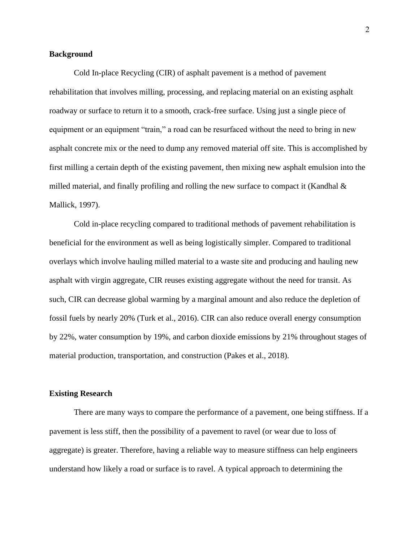## **Background**

Cold In-place Recycling (CIR) of asphalt pavement is a method of pavement rehabilitation that involves milling, processing, and replacing material on an existing asphalt roadway or surface to return it to a smooth, crack-free surface. Using just a single piece of equipment or an equipment "train," a road can be resurfaced without the need to bring in new asphalt concrete mix or the need to dump any removed material off site. This is accomplished by first milling a certain depth of the existing pavement, then mixing new asphalt emulsion into the milled material, and finally profiling and rolling the new surface to compact it (Kandhal & Mallick, 1997).

Cold in-place recycling compared to traditional methods of pavement rehabilitation is beneficial for the environment as well as being logistically simpler. Compared to traditional overlays which involve hauling milled material to a waste site and producing and hauling new asphalt with virgin aggregate, CIR reuses existing aggregate without the need for transit. As such, CIR can decrease global warming by a marginal amount and also reduce the depletion of fossil fuels by nearly 20% (Turk et al., 2016). CIR can also reduce overall energy consumption by 22%, water consumption by 19%, and carbon dioxide emissions by 21% throughout stages of material production, transportation, and construction (Pakes et al., 2018).

#### **Existing Research**

There are many ways to compare the performance of a pavement, one being stiffness. If a pavement is less stiff, then the possibility of a pavement to ravel (or wear due to loss of aggregate) is greater. Therefore, having a reliable way to measure stiffness can help engineers understand how likely a road or surface is to ravel. A typical approach to determining the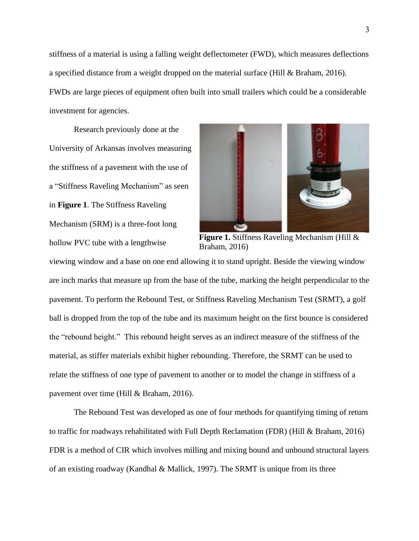stiffness of a material is using a falling weight deflectometer (FWD), which measures deflections a specified distance from a weight dropped on the material surface (Hill & Braham, 2016). FWDs are large pieces of equipment often built into small trailers which could be a considerable investment for agencies.

Research previously done at the University of Arkansas involves measuring the stiffness of a pavement with the use of a "Stiffness Raveling Mechanism" as seen in **Figure 1**. The Stiffness Raveling Mechanism (SRM) is a three-foot long hollow PVC tube with a lengthwise



**Figure 1.** Stiffness Raveling Mechanism (Hill & Braham, 2016)

viewing window and a base on one end allowing it to stand upright. Beside the viewing window are inch marks that measure up from the base of the tube, marking the height perpendicular to the pavement. To perform the Rebound Test, or Stiffness Raveling Mechanism Test (SRMT), a golf ball is dropped from the top of the tube and its maximum height on the first bounce is considered the "rebound height." This rebound height serves as an indirect measure of the stiffness of the material, as stiffer materials exhibit higher rebounding. Therefore, the SRMT can be used to relate the stiffness of one type of pavement to another or to model the change in stiffness of a pavement over time (Hill & Braham, 2016).

The Rebound Test was developed as one of four methods for quantifying timing of return to traffic for roadways rehabilitated with Full Depth Reclamation (FDR) (Hill & Braham, 2016) FDR is a method of CIR which involves milling and mixing bound and unbound structural layers of an existing roadway (Kandhal & Mallick, 1997). The SRMT is unique from its three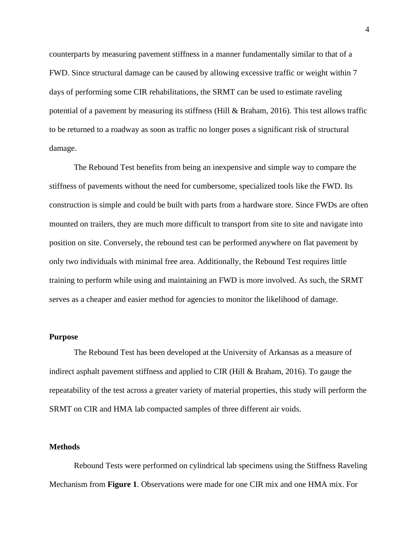counterparts by measuring pavement stiffness in a manner fundamentally similar to that of a FWD. Since structural damage can be caused by allowing excessive traffic or weight within 7 days of performing some CIR rehabilitations, the SRMT can be used to estimate raveling potential of a pavement by measuring its stiffness (Hill & Braham, 2016). This test allows traffic to be returned to a roadway as soon as traffic no longer poses a significant risk of structural damage.

The Rebound Test benefits from being an inexpensive and simple way to compare the stiffness of pavements without the need for cumbersome, specialized tools like the FWD. Its construction is simple and could be built with parts from a hardware store. Since FWDs are often mounted on trailers, they are much more difficult to transport from site to site and navigate into position on site. Conversely, the rebound test can be performed anywhere on flat pavement by only two individuals with minimal free area. Additionally, the Rebound Test requires little training to perform while using and maintaining an FWD is more involved. As such, the SRMT serves as a cheaper and easier method for agencies to monitor the likelihood of damage.

## **Purpose**

The Rebound Test has been developed at the University of Arkansas as a measure of indirect asphalt pavement stiffness and applied to CIR (Hill & Braham, 2016). To gauge the repeatability of the test across a greater variety of material properties, this study will perform the SRMT on CIR and HMA lab compacted samples of three different air voids.

# **Methods**

Rebound Tests were performed on cylindrical lab specimens using the Stiffness Raveling Mechanism from **Figure 1**. Observations were made for one CIR mix and one HMA mix. For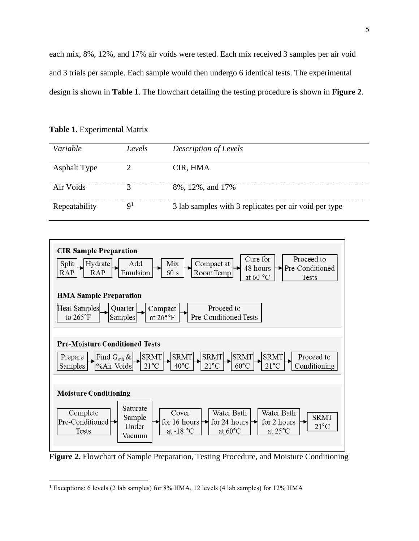each mix, 8%, 12%, and 17% air voids were tested. Each mix received 3 samples per air void and 3 trials per sample. Each sample would then undergo 6 identical tests. The experimental design is shown in **Table 1**. The flowchart detailing the testing procedure is shown in **Figure 2**.

**Table 1.** Experimental Matrix

| Variable            | Levels       | Description of Levels                                 |
|---------------------|--------------|-------------------------------------------------------|
| <b>Asphalt Type</b> |              | CIR, HMA                                              |
| Air Voids           |              | 8%, 12%, and 17%                                      |
| Repeatability       | $\mathbf{Q}$ | 3 lab samples with 3 replicates per air void per type |



**Figure 2.** Flowchart of Sample Preparation, Testing Procedure, and Moisture Conditioning

<sup>&</sup>lt;sup>1</sup> Exceptions: 6 levels (2 lab samples) for 8% HMA, 12 levels (4 lab samples) for 12% HMA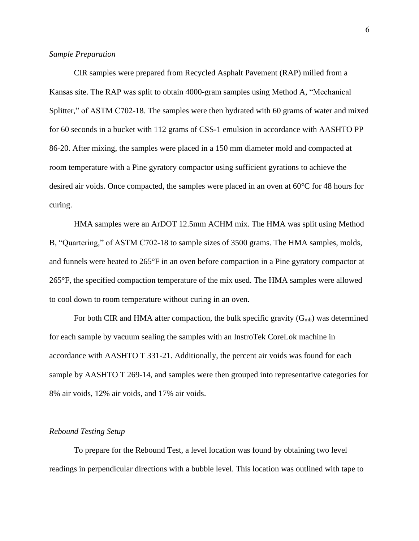#### *Sample Preparation*

CIR samples were prepared from Recycled Asphalt Pavement (RAP) milled from a Kansas site. The RAP was split to obtain 4000-gram samples using Method A, "Mechanical Splitter," of ASTM C702-18. The samples were then hydrated with 60 grams of water and mixed for 60 seconds in a bucket with 112 grams of CSS-1 emulsion in accordance with AASHTO PP 86-20. After mixing, the samples were placed in a 150 mm diameter mold and compacted at room temperature with a Pine gyratory compactor using sufficient gyrations to achieve the desired air voids. Once compacted, the samples were placed in an oven at 60°C for 48 hours for curing.

HMA samples were an ArDOT 12.5mm ACHM mix. The HMA was split using Method B, "Quartering," of ASTM C702-18 to sample sizes of 3500 grams. The HMA samples, molds, and funnels were heated to 265°F in an oven before compaction in a Pine gyratory compactor at 265°F, the specified compaction temperature of the mix used. The HMA samples were allowed to cool down to room temperature without curing in an oven.

For both CIR and HMA after compaction, the bulk specific gravity  $(G_{mb})$  was determined for each sample by vacuum sealing the samples with an InstroTek CoreLok machine in accordance with AASHTO T 331-21. Additionally, the percent air voids was found for each sample by AASHTO T 269-14, and samples were then grouped into representative categories for 8% air voids, 12% air voids, and 17% air voids.

#### *Rebound Testing Setup*

To prepare for the Rebound Test, a level location was found by obtaining two level readings in perpendicular directions with a bubble level. This location was outlined with tape to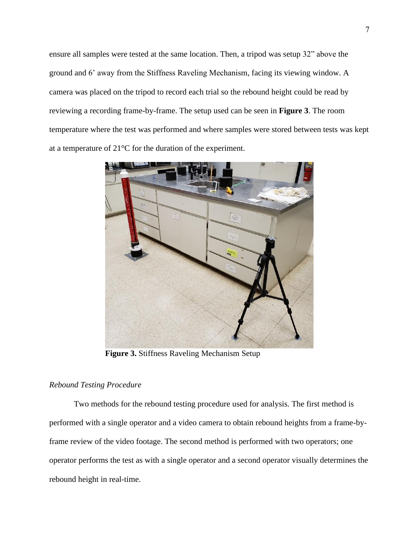ensure all samples were tested at the same location. Then, a tripod was setup 32" above the ground and 6' away from the Stiffness Raveling Mechanism, facing its viewing window. A camera was placed on the tripod to record each trial so the rebound height could be read by reviewing a recording frame-by-frame. The setup used can be seen in **Figure 3**. The room temperature where the test was performed and where samples were stored between tests was kept at a temperature of 21°C for the duration of the experiment.



**Figure 3.** Stiffness Raveling Mechanism Setup

# *Rebound Testing Procedure*

Two methods for the rebound testing procedure used for analysis. The first method is performed with a single operator and a video camera to obtain rebound heights from a frame-byframe review of the video footage. The second method is performed with two operators; one operator performs the test as with a single operator and a second operator visually determines the rebound height in real-time.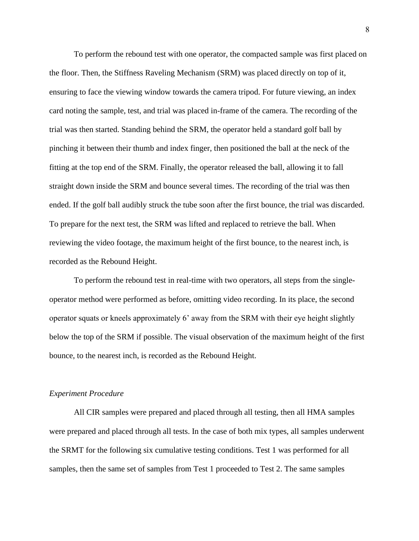To perform the rebound test with one operator, the compacted sample was first placed on the floor. Then, the Stiffness Raveling Mechanism (SRM) was placed directly on top of it, ensuring to face the viewing window towards the camera tripod. For future viewing, an index card noting the sample, test, and trial was placed in-frame of the camera. The recording of the trial was then started. Standing behind the SRM, the operator held a standard golf ball by pinching it between their thumb and index finger, then positioned the ball at the neck of the fitting at the top end of the SRM. Finally, the operator released the ball, allowing it to fall straight down inside the SRM and bounce several times. The recording of the trial was then ended. If the golf ball audibly struck the tube soon after the first bounce, the trial was discarded. To prepare for the next test, the SRM was lifted and replaced to retrieve the ball. When reviewing the video footage, the maximum height of the first bounce, to the nearest inch, is recorded as the Rebound Height.

To perform the rebound test in real-time with two operators, all steps from the singleoperator method were performed as before, omitting video recording. In its place, the second operator squats or kneels approximately 6' away from the SRM with their eye height slightly below the top of the SRM if possible. The visual observation of the maximum height of the first bounce, to the nearest inch, is recorded as the Rebound Height.

#### *Experiment Procedure*

All CIR samples were prepared and placed through all testing, then all HMA samples were prepared and placed through all tests. In the case of both mix types, all samples underwent the SRMT for the following six cumulative testing conditions. Test 1 was performed for all samples, then the same set of samples from Test 1 proceeded to Test 2. The same samples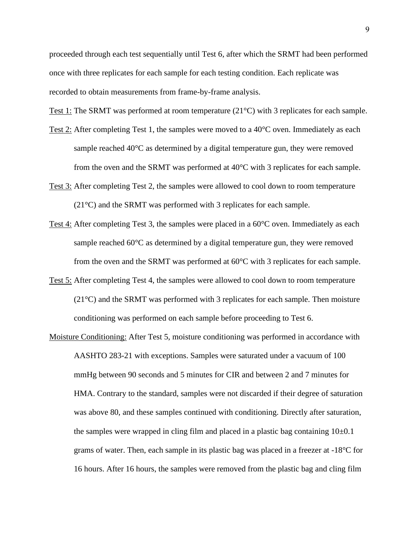proceeded through each test sequentially until Test 6, after which the SRMT had been performed once with three replicates for each sample for each testing condition. Each replicate was recorded to obtain measurements from frame-by-frame analysis.

Test 1: The SRMT was performed at room temperature (21°C) with 3 replicates for each sample.

- Test 2: After completing Test 1, the samples were moved to a 40°C oven. Immediately as each sample reached 40°C as determined by a digital temperature gun, they were removed from the oven and the SRMT was performed at 40°C with 3 replicates for each sample.
- Test 3: After completing Test 2, the samples were allowed to cool down to room temperature (21°C) and the SRMT was performed with 3 replicates for each sample.
- Test 4: After completing Test 3, the samples were placed in a 60°C oven. Immediately as each sample reached 60°C as determined by a digital temperature gun, they were removed from the oven and the SRMT was performed at 60°C with 3 replicates for each sample.
- Test 5: After completing Test 4, the samples were allowed to cool down to room temperature  $(21^{\circ}$ C) and the SRMT was performed with 3 replicates for each sample. Then moisture conditioning was performed on each sample before proceeding to Test 6.
- Moisture Conditioning: After Test 5, moisture conditioning was performed in accordance with AASHTO 283-21 with exceptions. Samples were saturated under a vacuum of 100 mmHg between 90 seconds and 5 minutes for CIR and between 2 and 7 minutes for HMA. Contrary to the standard, samples were not discarded if their degree of saturation was above 80, and these samples continued with conditioning. Directly after saturation, the samples were wrapped in cling film and placed in a plastic bag containing  $10\pm0.1$ grams of water. Then, each sample in its plastic bag was placed in a freezer at -18°C for 16 hours. After 16 hours, the samples were removed from the plastic bag and cling film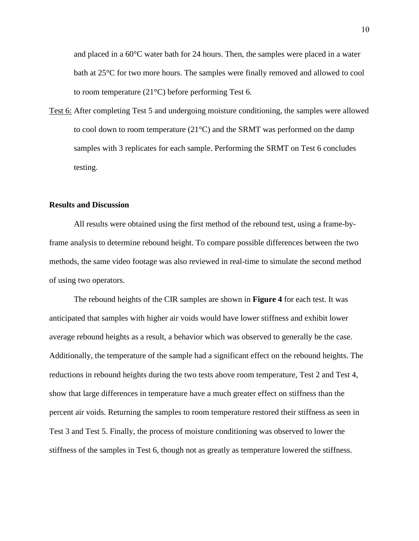and placed in a 60°C water bath for 24 hours. Then, the samples were placed in a water bath at 25°C for two more hours. The samples were finally removed and allowed to cool to room temperature (21°C) before performing Test 6.

Test 6: After completing Test 5 and undergoing moisture conditioning, the samples were allowed to cool down to room temperature  $(21^{\circ}C)$  and the SRMT was performed on the damp samples with 3 replicates for each sample. Performing the SRMT on Test 6 concludes testing.

#### **Results and Discussion**

All results were obtained using the first method of the rebound test, using a frame-byframe analysis to determine rebound height. To compare possible differences between the two methods, the same video footage was also reviewed in real-time to simulate the second method of using two operators.

The rebound heights of the CIR samples are shown in **Figure 4** for each test. It was anticipated that samples with higher air voids would have lower stiffness and exhibit lower average rebound heights as a result, a behavior which was observed to generally be the case. Additionally, the temperature of the sample had a significant effect on the rebound heights. The reductions in rebound heights during the two tests above room temperature, Test 2 and Test 4, show that large differences in temperature have a much greater effect on stiffness than the percent air voids. Returning the samples to room temperature restored their stiffness as seen in Test 3 and Test 5. Finally, the process of moisture conditioning was observed to lower the stiffness of the samples in Test 6, though not as greatly as temperature lowered the stiffness.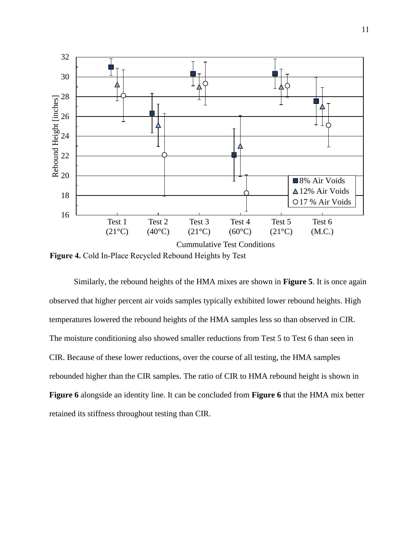

**Figure 4.** Cold In-Place Recycled Rebound Heights by Test

Similarly, the rebound heights of the HMA mixes are shown in **Figure 5**. It is once again observed that higher percent air voids samples typically exhibited lower rebound heights. High temperatures lowered the rebound heights of the HMA samples less so than observed in CIR. The moisture conditioning also showed smaller reductions from Test 5 to Test 6 than seen in CIR. Because of these lower reductions, over the course of all testing, the HMA samples rebounded higher than the CIR samples. The ratio of CIR to HMA rebound height is shown in **Figure 6** alongside an identity line. It can be concluded from **Figure 6** that the HMA mix better retained its stiffness throughout testing than CIR.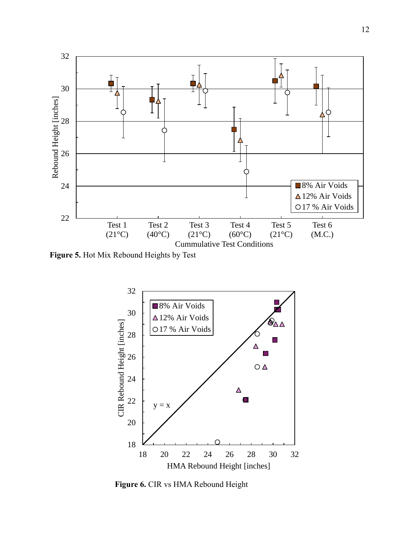

**Figure 5.** Hot Mix Rebound Heights by Test



**Figure 6.** CIR vs HMA Rebound Height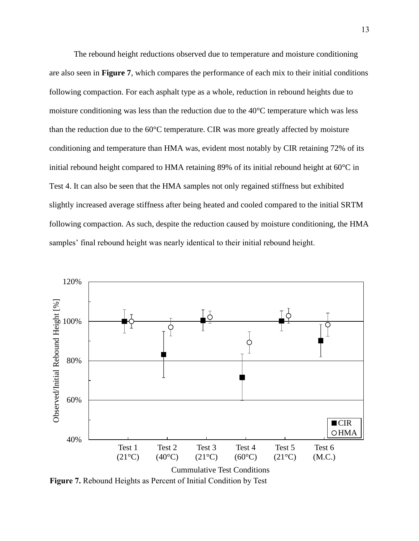The rebound height reductions observed due to temperature and moisture conditioning are also seen in **Figure 7**, which compares the performance of each mix to their initial conditions following compaction. For each asphalt type as a whole, reduction in rebound heights due to moisture conditioning was less than the reduction due to the 40°C temperature which was less than the reduction due to the 60°C temperature. CIR was more greatly affected by moisture conditioning and temperature than HMA was, evident most notably by CIR retaining 72% of its initial rebound height compared to HMA retaining 89% of its initial rebound height at 60°C in Test 4. It can also be seen that the HMA samples not only regained stiffness but exhibited slightly increased average stiffness after being heated and cooled compared to the initial SRTM following compaction. As such, despite the reduction caused by moisture conditioning, the HMA samples' final rebound height was nearly identical to their initial rebound height.



**Figure 7.** Rebound Heights as Percent of Initial Condition by Test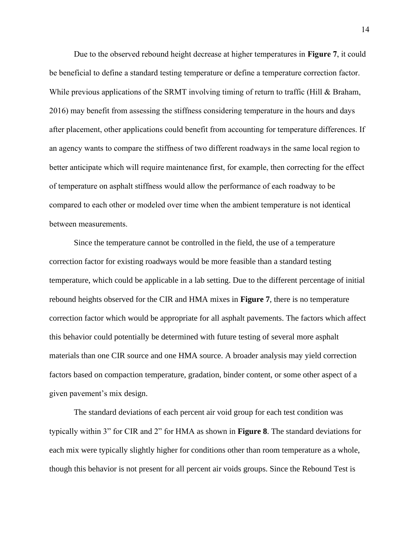Due to the observed rebound height decrease at higher temperatures in **Figure 7**, it could be beneficial to define a standard testing temperature or define a temperature correction factor. While previous applications of the SRMT involving timing of return to traffic (Hill & Braham, 2016) may benefit from assessing the stiffness considering temperature in the hours and days after placement, other applications could benefit from accounting for temperature differences. If an agency wants to compare the stiffness of two different roadways in the same local region to better anticipate which will require maintenance first, for example, then correcting for the effect of temperature on asphalt stiffness would allow the performance of each roadway to be compared to each other or modeled over time when the ambient temperature is not identical between measurements.

Since the temperature cannot be controlled in the field, the use of a temperature correction factor for existing roadways would be more feasible than a standard testing temperature, which could be applicable in a lab setting. Due to the different percentage of initial rebound heights observed for the CIR and HMA mixes in **Figure 7**, there is no temperature correction factor which would be appropriate for all asphalt pavements. The factors which affect this behavior could potentially be determined with future testing of several more asphalt materials than one CIR source and one HMA source. A broader analysis may yield correction factors based on compaction temperature, gradation, binder content, or some other aspect of a given pavement's mix design.

The standard deviations of each percent air void group for each test condition was typically within 3" for CIR and 2" for HMA as shown in **Figure 8**. The standard deviations for each mix were typically slightly higher for conditions other than room temperature as a whole, though this behavior is not present for all percent air voids groups. Since the Rebound Test is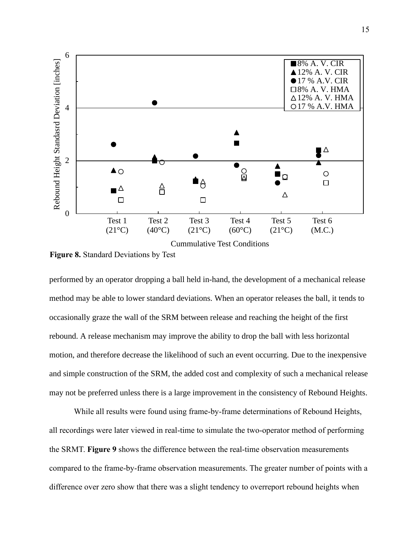

**Figure 8.** Standard Deviations by Test

performed by an operator dropping a ball held in-hand, the development of a mechanical release method may be able to lower standard deviations. When an operator releases the ball, it tends to occasionally graze the wall of the SRM between release and reaching the height of the first rebound. A release mechanism may improve the ability to drop the ball with less horizontal motion, and therefore decrease the likelihood of such an event occurring. Due to the inexpensive and simple construction of the SRM, the added cost and complexity of such a mechanical release may not be preferred unless there is a large improvement in the consistency of Rebound Heights.

While all results were found using frame-by-frame determinations of Rebound Heights, all recordings were later viewed in real-time to simulate the two-operator method of performing the SRMT. **Figure 9** shows the difference between the real-time observation measurements compared to the frame-by-frame observation measurements. The greater number of points with a difference over zero show that there was a slight tendency to overreport rebound heights when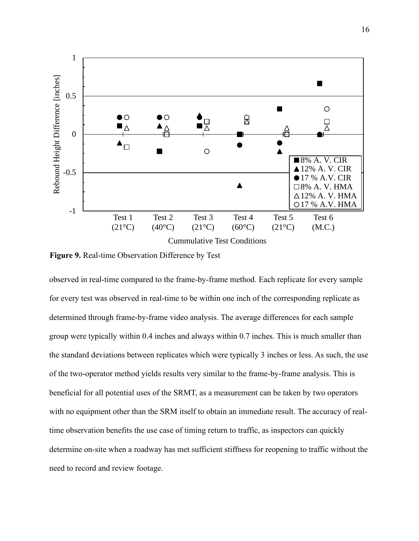

**Figure 9.** Real-time Observation Difference by Test

observed in real-time compared to the frame-by-frame method. Each replicate for every sample for every test was observed in real-time to be within one inch of the corresponding replicate as determined through frame-by-frame video analysis. The average differences for each sample group were typically within 0.4 inches and always within 0.7 inches. This is much smaller than the standard deviations between replicates which were typically 3 inches or less. As such, the use of the two-operator method yields results very similar to the frame-by-frame analysis. This is beneficial for all potential uses of the SRMT, as a measurement can be taken by two operators with no equipment other than the SRM itself to obtain an immediate result. The accuracy of realtime observation benefits the use case of timing return to traffic, as inspectors can quickly determine on-site when a roadway has met sufficient stiffness for reopening to traffic without the need to record and review footage.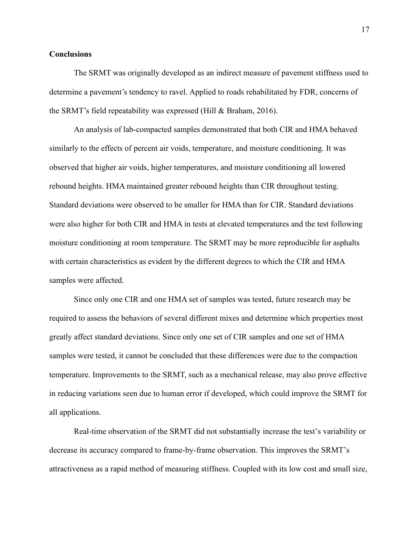## **Conclusions**

The SRMT was originally developed as an indirect measure of pavement stiffness used to determine a pavement's tendency to ravel. Applied to roads rehabilitated by FDR, concerns of the SRMT's field repeatability was expressed (Hill & Braham, 2016).

An analysis of lab-compacted samples demonstrated that both CIR and HMA behaved similarly to the effects of percent air voids, temperature, and moisture conditioning. It was observed that higher air voids, higher temperatures, and moisture conditioning all lowered rebound heights. HMA maintained greater rebound heights than CIR throughout testing. Standard deviations were observed to be smaller for HMA than for CIR. Standard deviations were also higher for both CIR and HMA in tests at elevated temperatures and the test following moisture conditioning at room temperature. The SRMT may be more reproducible for asphalts with certain characteristics as evident by the different degrees to which the CIR and HMA samples were affected.

Since only one CIR and one HMA set of samples was tested, future research may be required to assess the behaviors of several different mixes and determine which properties most greatly affect standard deviations. Since only one set of CIR samples and one set of HMA samples were tested, it cannot be concluded that these differences were due to the compaction temperature. Improvements to the SRMT, such as a mechanical release, may also prove effective in reducing variations seen due to human error if developed, which could improve the SRMT for all applications.

Real-time observation of the SRMT did not substantially increase the test's variability or decrease its accuracy compared to frame-by-frame observation. This improves the SRMT's attractiveness as a rapid method of measuring stiffness. Coupled with its low cost and small size,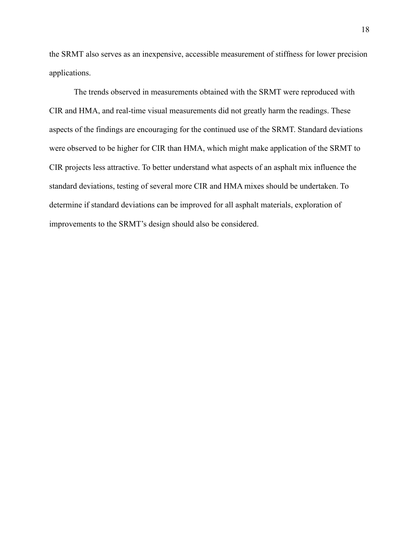the SRMT also serves as an inexpensive, accessible measurement of stiffness for lower precision applications.

The trends observed in measurements obtained with the SRMT were reproduced with CIR and HMA, and real-time visual measurements did not greatly harm the readings. These aspects of the findings are encouraging for the continued use of the SRMT. Standard deviations were observed to be higher for CIR than HMA, which might make application of the SRMT to CIR projects less attractive. To better understand what aspects of an asphalt mix influence the standard deviations, testing of several more CIR and HMA mixes should be undertaken. To determine if standard deviations can be improved for all asphalt materials, exploration of improvements to the SRMT's design should also be considered.